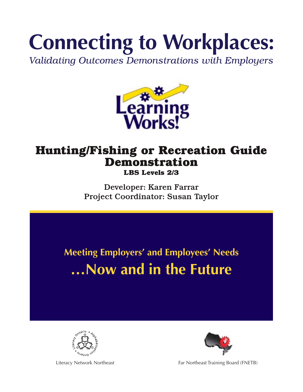# **Connecting to Workplaces:**

Validating Outcomes Demonstrations with Employers



# **Hunting/Fishing or Recreation Guide Demonstration**

**LBS Levels 2/3**

Developer: Karen Farrar Project Coordinator: Susan Taylor

**Meeting Employers' and Employees' Needs …Now and in the Future**





Literacy Network Northeast Far Northeast Fraining Board (FNETB)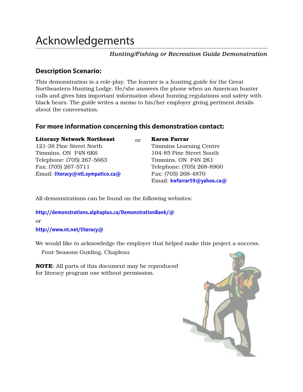## Acknowledgements

## **Hunting/Fishing or Recreation Guide Demonstration**

## **Description Scenario:**

This demonstration is a role-play. The learner is a hunting guide for the Great Northeastern Hunting Lodge. He/she answers the phone when an American hunter calls and gives him important information about hunting regulations and safety with black bears. The guide writes a memo to his/her employer giving pertinent details about the conversation.

## For more information concerning this demonstration contact:

**Literacy Network Northeast** Or **Karen Farrar** 121-38 Pine Street North Timmins Learning Centre Timmins, ON P4N 6K6 104-85 Pine Street South Telephone: (705) 267-5663 Timmins, ON P4N 2K1 Fax: (705) 267-5711 Telephone: (705) 268-8900 Email: literacy@ntl.sympatico.ca@ Fax: (705) 268-4870

Email: **kwfarrar59@yahoo.ca@** 

All demonstrations can be found on the following websites:

http://demonstrations.alphaplus.ca/DemonstrationBank/@ OR

http://www.nt.net/literacy@

We would like to acknowledge the employer that helped make this project a success.

Four Seasons Guiding, Chapleau

**NOTE:** All parts of this document may be reproduced for literacy program use without permission.

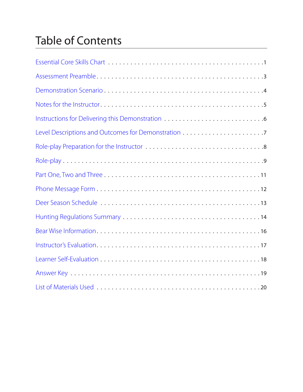## Table of Contents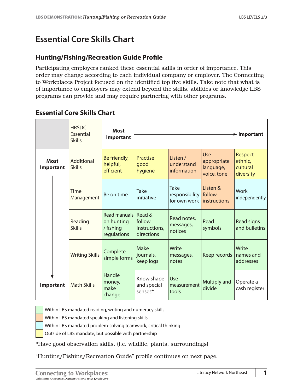## <span id="page-3-0"></span>**Essential Core Skills Chart**

## **Hunting/Fishing/Recreation Guide Profile**

Participating employers ranked these essential skills in order of importance. This order may change according to each individual company or employer. The Connecting to Workplaces Project focused on the identified top five skills. Take note that what is of importance to employers may extend beyond the skills, abilities or knowledge LBS programs can provide and may require partnering with other programs.

## **Essential Core Skills Chart**

|                          |           | <b>HRSDC</b><br>Essential<br><b>Skills</b> | <b>Most</b><br>Important                               |                                                 |                                               |                                                | $\blacktriangleright$ Important                    |
|--------------------------|-----------|--------------------------------------------|--------------------------------------------------------|-------------------------------------------------|-----------------------------------------------|------------------------------------------------|----------------------------------------------------|
| <b>Most</b><br>Important |           | Additional<br><b>Skills</b>                | Be friendly,<br>helpful,<br>efficient                  | Practise<br>good<br>hygiene                     | Listen /<br>understand<br>information         | Use<br>appropriate<br>language,<br>voice, tone | <b>Respect</b><br>ethnic,<br>cultural<br>diversity |
|                          |           | Time<br>Management                         | Be on time                                             | <b>Take</b><br>initiative                       | <b>Take</b><br>responsibility<br>for own work | Listen $&$<br>follow<br><b>instructions</b>    | <b>Work</b><br>independently                       |
|                          |           | Reading<br><b>Skills</b>                   | Read manuals<br>on hunting<br>/ fishing<br>regulations | Read &<br>follow<br>instructions.<br>directions | Read notes,<br>messages,<br>notices           | Read<br>symbols                                | <b>Read signs</b><br>and bulletins                 |
|                          |           | <b>Writing Skills</b>                      | Complete<br>simple forms                               | <b>Make</b><br>journals,<br>keep logs           | Write<br>messages,<br>notes                   | Keep records                                   | Write<br>names and<br>addresses                    |
|                          | Important | <b>Math Skills</b>                         | Handle<br>money,<br>make<br>change                     | Know shape<br>and special<br>senses*            | Use<br>measurement<br>tools                   | Multiply and<br>divide                         | Operate a<br>cash register                         |

Within LBS mandated reading, writing and numeracy skills

Within LBS mandated speaking and listening skills

Within LBS mandated problem-solving teamwork, critical thinking

Outside of LBS mandate, but possible with partnership

\*Have good observation skills. (i.e. wildlife, plants, surroundings)

"Hunting/Fishing/Recreation Guide" profile continues on next page.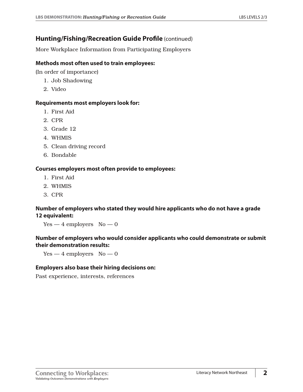## **Hunting/Fishing/Recreation Guide Profile** (continued)

More Workplace Information from Participating Employers

#### **Methods most often used to train employees:**

(In order of importance)

- 1. Job Shadowing
- 2. Video

#### **Requirements most employers look for:**

- 1. First Aid
- 2. CPR
- 3. Grade 12
- 4. WHMIS
- 5. Clean driving record
- 6. Bondable

#### **Courses employers most often provide to employees:**

- 1. First Aid
- 2. WHMIS
- 3. CPR

#### **Number of employers who stated they would hire applicants who do not have a grade 12 equivalent:**

 $Yes - 4$  employers  $No - 0$ 

#### **Number of employers who would consider applicants who could demonstrate or submit their demonstration results:**

 $Yes - 4$  employers  $No - 0$ 

#### **Employers also base their hiring decisions on:**

Past experience, interests, references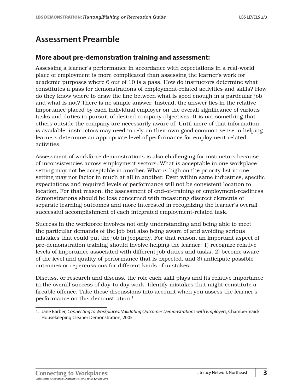## <span id="page-5-0"></span>**Assessment Preamble**

## **More about pre-demonstration training and assessment:**

Assessing a learner's performance in accordance with expectations in a real-world place of employment is more complicated than assessing the learner's work for academic purposes where 6 out of 10 is a pass. How do instructors determine what constitutes a pass for demonstrations of employment-related activities and skills? How do they know where to draw the line between what is good enough in a particular job and what is not? There is no simple answer. Instead, the answer lies in the relative importance placed by each individual employer on the overall significance of various tasks and duties in pursuit of desired company objectives. It is not something that others outside the company are necessarily aware of. Until more of that information is available, instructors may need to rely on their own good common sense in helping learners determine an appropriate level of performance for employment-related activities.

Assessment of workforce demonstrations is also challenging for instructors because of inconsistencies across employment sectors. What is acceptable in one workplace setting may not be acceptable in another. What is high on the priority list in one setting may not factor in much at all in another. Even within same industries, specific expectations and required levels of performance will not be consistent location to location. For that reason, the assessment of end-of-training or employment-readiness demonstrations should be less concerned with measuring discreet elements of separate learning outcomes and more interested in recognizing the learner's overall successful accomplishment of each integrated employment-related task.

Success in the workforce involves not only understanding and being able to meet the particular demands of the job but also being aware of and avoiding serious mistakes that could put the job in jeopardy. For that reason, an important aspect of pre-demonstration training should involve helping the learner: 1) recognize relative levels of importance associated with different job duties and tasks, 2) become aware of the level and quality of performance that is expected, and 3) anticipate possible outcomes or repercussions for different kinds of mistakes.

Discuss, or research and discuss, the role each skill plays and its relative importance in the overall success of day-to-day work. Identify mistakes that might constitute a fireable offence. Take these discussions into account when you assess the learner's performance on this demonstration.<sup>1</sup>

<sup>1.</sup> Jane Barber, Connecting to Workplaces: Validating Outcomes Demonstrations with Employers, Chambermaid/ Housekeeping Cleaner Demonstration, 2005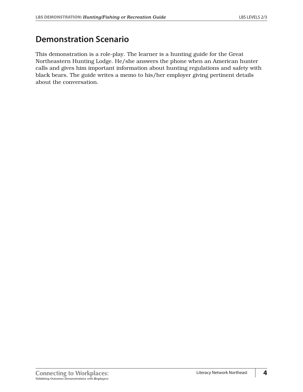## <span id="page-6-0"></span>**Demonstration Scenario**

This demonstration is a role-play. The learner is a hunting guide for the Great Northeastern Hunting Lodge. He/she answers the phone when an American hunter calls and gives him important information about hunting regulations and safety with black bears. The guide writes a memo to his/her employer giving pertinent details about the conversation.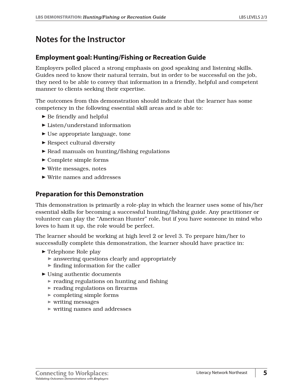## <span id="page-7-0"></span>**Notes for the Instructor**

## **Employment goal: Hunting/Fishing or Recreation Guide**

Employers polled placed a strong emphasis on good speaking and listening skills. Guides need to know their natural terrain, but in order to be successful on the job, they need to be able to convey that information in a friendly, helpful and competent manner to clients seeking their expertise.

The outcomes from this demonstration should indicate that the learner has some competency in the following essential skill areas and is able to:

- $\blacktriangleright$  Be friendly and helpful
- $\blacktriangleright$  Listen/understand information
- $\blacktriangleright$  Use appropriate language, tone
- $\blacktriangleright$  Respect cultural diversity
- ▶ Read manuals on hunting/fishing regulations
- $\blacktriangleright$  Complete simple forms
- $\blacktriangleright$  Write messages, notes
- ® Write names and addresses

## **Preparation for this Demonstration**

This demonstration is primarily a role-play in which the learner uses some of his/her essential skills for becoming a successful hunting/fishing guide. Any practitioner or volunteer can play the "American Hunter" role, but if you have someone in mind who loves to ham it up, the role would be perfect.

The learner should be working at high level 2 or level 3. To prepare him/her to successfully complete this demonstration, the learner should have practice in:

- $\blacktriangleright$  Telephone Role play
	- $\triangleright$  answering questions clearly and appropriately
	- $\triangleright$  finding information for the caller
- ® Using authentic documents
	- $\triangleright$  reading regulations on hunting and fishing
	- $\blacktriangleright$  reading regulations on firearms
	- $\triangleright$  completing simple forms
	- $\triangleright$  writing messages
	- $\triangleright$  writing names and addresses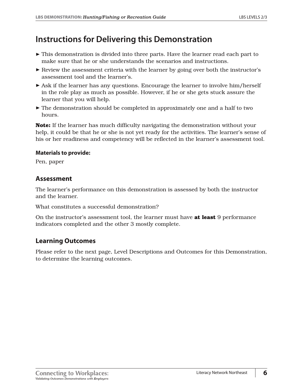## <span id="page-8-0"></span>**Instructions for Delivering this Demonstration**

- ® This demonstration is divided into three parts. Have the learner read each part to make sure that he or she understands the scenarios and instructions.
- $\triangleright$  Review the assessment criteria with the learner by going over both the instructor's assessment tool and the learner's.
- $\triangleright$  Ask if the learner has any questions. Encourage the learner to involve him/herself in the role play as much as possible. However, if he or she gets stuck assure the learner that you will help.
- $\blacktriangleright$  The demonstration should be completed in approximately one and a half to two hours.

**Note:** If the learner has much difficulty navigating the demonstration without your help, it could be that he or she is not yet ready for the activities. The learner's sense of his or her readiness and competency will be reflected in the learner's assessment tool.

#### **Materials to provide:**

Pen, paper

## **Assessment**

The learner's performance on this demonstration is assessed by both the instructor and the learner.

What constitutes a successful demonstration?

On the instructor's assessment tool, the learner must have **at least** 9 performance indicators completed and the other 3 mostly complete.

## **Learning Outcomes**

Please refer to the next page, Level Descriptions and Outcomes for this Demonstration, to determine the learning outcomes.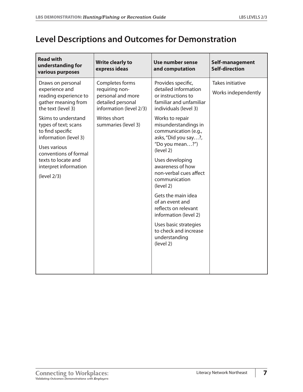## <span id="page-9-0"></span>**Level Descriptions and Outcomes for Demonstration**

| <b>Read with</b><br>understanding for<br>various purposes                                                                                                                                                                                                                                                     | <b>Write clearly to</b><br>express ideas                                                                                                      | Use number sense<br>and computation                                                                                                                                                                                                                                                                                                                                                                                                                                                                                      | Self-management<br><b>Self-direction</b> |
|---------------------------------------------------------------------------------------------------------------------------------------------------------------------------------------------------------------------------------------------------------------------------------------------------------------|-----------------------------------------------------------------------------------------------------------------------------------------------|--------------------------------------------------------------------------------------------------------------------------------------------------------------------------------------------------------------------------------------------------------------------------------------------------------------------------------------------------------------------------------------------------------------------------------------------------------------------------------------------------------------------------|------------------------------------------|
| Draws on personal<br>experience and<br>reading experience to<br>gather meaning from<br>the text (level 3)<br>Skims to understand<br>types of text; scans<br>to find specific<br>information (level 3)<br>Uses various<br>conventions of formal<br>texts to locate and<br>interpret information<br>(level 2/3) | Completes forms<br>requiring non-<br>personal and more<br>detailed personal<br>information (level 2/3)<br>Writes short<br>summaries (level 3) | Provides specific,<br>detailed information<br>or instructions to<br>familiar and unfamiliar<br>individuals (level 3)<br>Works to repair<br>misunderstandings in<br>communication (e.g.,<br>asks, "Did you say?,<br>"Do you mean?")<br>(level 2)<br>Uses developing<br>awareness of how<br>non-verbal cues affect<br>communication<br>(level 2)<br>Gets the main idea<br>of an event and<br>reflects on relevant<br>information (level 2)<br>Uses basic strategies<br>to check and increase<br>understanding<br>(level 2) | Takes initiative<br>Works independently  |
|                                                                                                                                                                                                                                                                                                               |                                                                                                                                               |                                                                                                                                                                                                                                                                                                                                                                                                                                                                                                                          |                                          |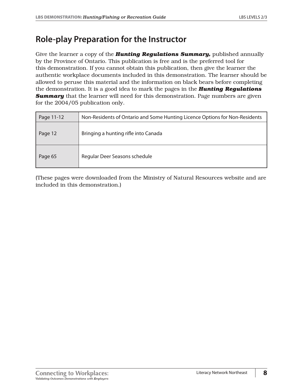## <span id="page-10-0"></span>**Role-play Preparation for the Instructor**

Give the learner a copy of the *Hunting Regulations Summary,* published annually by the Province of Ontario. This publication is free and is the preferred tool for this demonstration. If you cannot obtain this publication, then give the learner the authentic workplace documents included in this demonstration. The learner should be allowed to peruse this material and the information on black bears before completing the demonstration. It is a good idea to mark the pages in the *Hunting Regulations*  **Summary** that the learner will need for this demonstration. Page numbers are given for the 2004/05 publication only.

| Page 11-12 | Non-Residents of Ontario and Some Hunting Licence Options for Non-Residents |
|------------|-----------------------------------------------------------------------------|
| Page 12    | Bringing a hunting rifle into Canada                                        |
| Page 65    | Regular Deer Seasons schedule                                               |

(These pages were downloaded from the Ministry of Natural Resources website and are included in this demonstration.)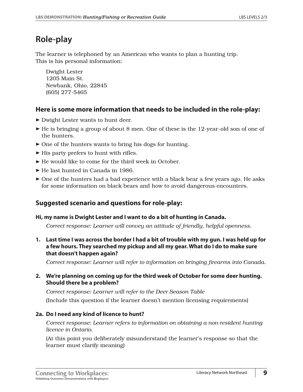## <span id="page-11-0"></span>**Role-play**

The learner is telephoned by an American who wants to plan a hunting trip. This is his personal information:

Dwight Lester 1205 Main St. Newbank, Ohio, 22845 (605) 277-5465

## **Here is some more information that needs to be included in the role-play:**

- ► Dwight Lester wants to hunt deer.
- $\blacktriangleright$  He is bringing a group of about 8 men. One of these is the 12-year-old son of one of the hunters.
- $\triangleright$  One of the hunters wants to bring his dogs for hunting.
- $\blacktriangleright$  His party prefers to hunt with rifles.
- ® He would like to come for the third week in October.
- ® He last hunted in Canada in 1986.
- $\triangleright$  One of the hunters had a bad experience with a black bear a few years ago. He asks for some information on black bears and how to avoid dangerous encounters.

## **Suggested scenario and questions for role-play:**

## **Hi, my name is Dwight Lester and I want to do a bit of hunting in Canada.**

*Correct response: Learner will convey an attitude of friendly, helpful openness.*

**1. Last time I was across the border I had a bit of trouble with my gun. I was held up for a few hours. They searched my pickup and all my gear. What do I do to make sure that doesn't happen again?** 

*Correct response: Learner will refer to information on bringing firearms into Canada.*

## **2. We're planning on coming up for the third week of October for some deer hunting. Should there be a problem?**

*Correct response: Learner will refer to the Deer Season Table* (Include this question if the learner doesn't mention licensing requirements)

## **2a. Do I need any kind of licence to hunt?**

*Correct response: Learner refers to information on obtaining a non-resident hunting licence in Ontario.*

(At this point you deliberately misunderstand the learner's response so that the learner must clarify meaning)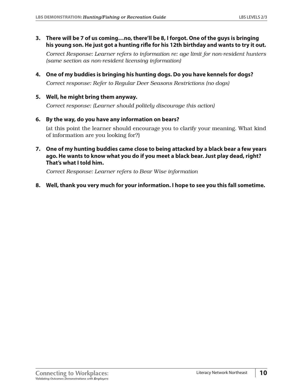**3. There will be 7 of us coming…no, there'll be 8, I forgot. One of the guys is bringing his young son. He just got a hunting rifle for his 12th birthday and wants to try it out.** 

*Correct Response: Learner refers to information re: age limit for non-resident hunters (same section as non-resident licensing information)*

- **4. One of my buddies is bringing his hunting dogs. Do you have kennels for dogs?**  *Correct response: Refer to Regular Deer Seasons Restrictions (no dogs)*
- **5. Well, he might bring them anyway.**

*Correct response: (Learner should politely discourage this action)*

**6. By the way, do you have any information on bears?** 

(at this point the learner should encourage you to clarify your meaning. What kind of information are you looking for?)

**7. One of my hunting buddies came close to being attacked by a black bear a few years ago. He wants to know what you do if you meet a black bear. Just play dead, right? That's what I told him.** 

*Correct Response: Learner refers to Bear Wise information*

**8. Well, thank you very much for your information. I hope to see you this fall sometime.**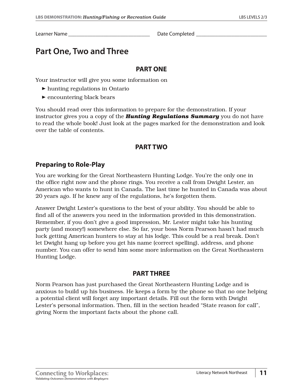<span id="page-13-0"></span>Learner Name **Learner Name Learner Name Learner Name Learner Manual** 

## **Part One, Two and Three**

## **PART ONE**

Your instructor will give you some information on

- $\blacktriangleright$  hunting regulations in Ontario
- $\blacktriangleright$  encountering black bears

You should read over this information to prepare for the demonstration. If your instructor gives you a copy of the *Hunting Regulations Summary* you do not have to read the whole book! Just look at the pages marked for the demonstration and look over the table of contents.

## **PART TWO**

## **Preparing to Role-Play**

You are working for the Great Northeastern Hunting Lodge. You're the only one in the office right now and the phone rings. You receive a call from Dwight Lester, an American who wants to hunt in Canada. The last time he hunted in Canada was about 20 years ago. If he knew any of the regulations, he's forgotten them.

Answer Dwight Lester's questions to the best of your ability. You should be able to find all of the answers you need in the information provided in this demonstration. Remember, if you don't give a good impression, Mr. Lester might take his hunting party (and money!) somewhere else. So far, your boss Norm Pearson hasn't had much luck getting American hunters to stay at his lodge. This could be a real break. Don't let Dwight hang up before you get his name (correct spelling), address, and phone number. You can offer to send him some more information on the Great Northeastern Hunting Lodge.

## **PART THREE**

Norm Pearson has just purchased the Great Northeastern Hunting Lodge and is anxious to build up his business. He keeps a form by the phone so that no one helping a potential client will forget any important details. Fill out the form with Dwight Lester's personal information. Then, fill in the section headed "State reason for call", giving Norm the important facts about the phone call.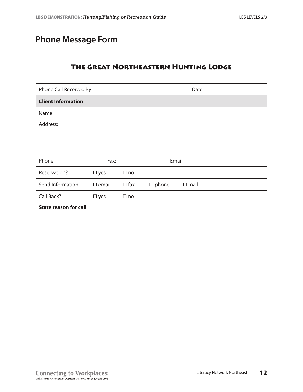## <span id="page-14-0"></span>**Phone Message Form**

## The Great Northeastern Hunting Lodge

| Phone Call Received By:      |               |      |               |                 |        | Date:          |  |
|------------------------------|---------------|------|---------------|-----------------|--------|----------------|--|
| <b>Client Information</b>    |               |      |               |                 |        |                |  |
| Name:                        |               |      |               |                 |        |                |  |
| Address:                     |               |      |               |                 |        |                |  |
|                              |               |      |               |                 |        |                |  |
|                              |               |      |               |                 |        |                |  |
| Phone:                       |               | Fax: |               |                 | Email: |                |  |
| Reservation?                 | $\square$ yes |      | $\square$ no  |                 |        |                |  |
| Send Information:            | $\Box$ email  |      | $\square$ fax | $\square$ phone |        | $\square$ mail |  |
| Call Back?                   | $\square$ yes |      | $\square$ no  |                 |        |                |  |
| <b>State reason for call</b> |               |      |               |                 |        |                |  |
|                              |               |      |               |                 |        |                |  |
|                              |               |      |               |                 |        |                |  |
|                              |               |      |               |                 |        |                |  |
|                              |               |      |               |                 |        |                |  |
|                              |               |      |               |                 |        |                |  |
|                              |               |      |               |                 |        |                |  |
|                              |               |      |               |                 |        |                |  |
|                              |               |      |               |                 |        |                |  |
|                              |               |      |               |                 |        |                |  |
|                              |               |      |               |                 |        |                |  |
|                              |               |      |               |                 |        |                |  |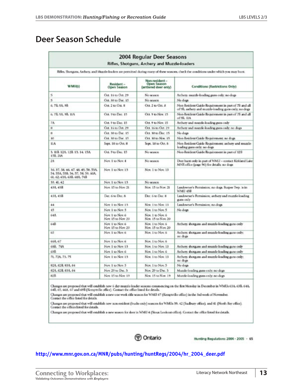## <span id="page-15-0"></span>**Deer Season Schedule**

|                                                                                                                                         |                                         | 2004 Regular Deer Seasons<br>Rifles, Shotguns, Archery and Muzzle-loaders |                                                                                                              |  |  |  |  |
|-----------------------------------------------------------------------------------------------------------------------------------------|-----------------------------------------|---------------------------------------------------------------------------|--------------------------------------------------------------------------------------------------------------|--|--|--|--|
| Rifles. Shotgans, Archers, and Muzzle-loaden are permitted during many of these seasons, check the conditions under which you may hunt. |                                         |                                                                           |                                                                                                              |  |  |  |  |
| WMU(s)                                                                                                                                  | Resident -<br>Open Season               | Non-resident -<br>Open Season<br>(antiered deer only)                     | Conditions (Restrictions Only)                                                                               |  |  |  |  |
| 5                                                                                                                                       | Oct. 16 to Oct. 29                      | No season                                                                 | Archers, muzzle-loading guns only, no dogs                                                                   |  |  |  |  |
| š                                                                                                                                       | Oct. 30 to Dec. 15                      | No MARIO                                                                  | No dogs                                                                                                      |  |  |  |  |
| 6.78.9A.9B                                                                                                                              | Oct. 2 to Oct. 8                        | Oct. 2 to Oct. 8                                                          | Non-Resident Cuide Requirement in part of 78 and all<br>of 9B, aschery and muzzle-loading gans only; no-dogs |  |  |  |  |
| 6, 78, 98, 98, 11A                                                                                                                      | Oct. 9 to Dec. 15                       | Oct. 9 to New 15.                                                         | Non-Resident Catide Requirement in part of 78 and all<br>of 98, 11A                                          |  |  |  |  |
| 7A                                                                                                                                      | Oct. 9 to Dec. 15                       | Oct. 9 to Nov. 15                                                         | Archery and muzzle-loading guns only                                                                         |  |  |  |  |
| m                                                                                                                                       | Oct. 16 to Oct. 29                      | Oct. 16 to Oct. 29                                                        | Archery and muzzle-loading guns only; no dogs                                                                |  |  |  |  |
| $\mathbb{R}$                                                                                                                            | Oct. 30 to Dec. 15                      | Oct. 30 to Dec. 15                                                        | No dogs                                                                                                      |  |  |  |  |
| <b>BO</b>                                                                                                                               | Oct. 10 to Dec. 15                      | Oct. 30 to Nov. 15                                                        | Non-Resident Caside Requirement; no dogs                                                                     |  |  |  |  |
| IIA.                                                                                                                                    | Sept. 18 to Oct. 8                      | Sept. 18 to Ост. 8                                                        | Non-Resident Corde Requirement; archery and muzzle-<br>loading gam only; no dogs                             |  |  |  |  |
| 3. IIB 12A 12B 13, 14, 15A<br>15B, 21A                                                                                                  | Од. 9 to Dec. 15                        | No season                                                                 | Non-Resident Cuide Requirement in part of 12B                                                                |  |  |  |  |
| 28                                                                                                                                      | New 1 to Nov. 4                         | No season                                                                 | Deer hunt only in part of WMU - contact Kirkland Lake<br>MNR office (page 96) for details: no dogs           |  |  |  |  |
| 36, 37, 38, 46, 47, 48, 49, 50, 53A<br>54, 55A, 55B, 56, 57, 58, 59, 60A,<br>61, 62, 63A, 63B, 68A, 74B                                 | Nov. 1 to Nov. 13                       | Nov. 1 to Nov. 13                                                         |                                                                                                              |  |  |  |  |
| 30.41.42                                                                                                                                | Nov. 1 to Nov. 13.                      | No season                                                                 |                                                                                                              |  |  |  |  |
| 43A 45B                                                                                                                                 | Nov. 15 to Nov. 21                      | Nov. 15 to Nov. 21                                                        | Landowner's Permission; no dogs. Borper Twp. is in<br>WMU 438                                                |  |  |  |  |
| 41A 43B                                                                                                                                 | Dec. 6 to Dec. 8                        | Dec. 5 to Dec. 8                                                          | Landowner's Permission; archery and muzzle-loading<br>mies only                                              |  |  |  |  |
| $^{44}$                                                                                                                                 | Now 1 to Nov 13                         | Now 1 to Nov. 13                                                          | Landowner's Permission; no dogs                                                                              |  |  |  |  |
| 45                                                                                                                                      | New 1 to New 5                          | Nov. 1 to Nov. 5                                                          | No dogs                                                                                                      |  |  |  |  |
| <b>G4A</b>                                                                                                                              | Nov. 1 to Nov. 6<br>Nov. 15 to Nov. 20. | Nov. 1 to Nov. 6<br>Nov. 15 to Nov. 20.                                   |                                                                                                              |  |  |  |  |
| 64B                                                                                                                                     | Nov. 1 to Nov. 6<br>Nov. 15 to Nov. 20  | Nov. 1 to Nov. 6<br>Nov. 15 to Nov. 20                                    | Archery, shotgures and muzzle-loading gam only                                                               |  |  |  |  |
| 65                                                                                                                                      | Nov. 1 to Nov. 6                        | Nov. 1 to Nov. 6                                                          | Archers shotgam and muzzle-loading guns only;<br>no dope                                                     |  |  |  |  |
| 66A 67                                                                                                                                  | Nov. 1 to Nov. 6                        | Nov. 1 to Nov. 6                                                          |                                                                                                              |  |  |  |  |
| 68R 76A                                                                                                                                 | Now 1 to Nov. 13                        | Nov. 1 to Nov. 13                                                         | Archers shotguns and muzzle loading guns only                                                                |  |  |  |  |
| 69B                                                                                                                                     | Nov. 1 to Nov. 6                        | Nov. 1 to Nov. 6                                                          | Archers shotgurs and muzzle-loading guns only                                                                |  |  |  |  |
| 71, 72A, 73, 75                                                                                                                         | Nov. 1 to Nov. 13.                      | Nov. 1 to Nov. 13                                                         | Archers shotguns and muzzle-loading guns only:<br>no dogs                                                    |  |  |  |  |
| 82A 82R 83A 84                                                                                                                          | Nov. 1 to Nov. 5                        | Nov. 1 to Nov. 5                                                          | No dogs                                                                                                      |  |  |  |  |
| 82A 82B 83A 84                                                                                                                          | Nov. 29 to Dec. 3.                      | Nov. 29 to Dat. 3                                                         | Muzzle-loading guns only; no dogs                                                                            |  |  |  |  |
| <b>R2R</b>                                                                                                                              | New 15 to New 19                        | Nov. 15 to Nov. 19                                                        | Muzzle-loading guns only. no dogs                                                                            |  |  |  |  |

Changes are proposed that will establish new 6 day muzzle loader seatons commencing on the first Monday in December in WMUs 63A, 63B, 64A,<br>64B, 65, 66A, 67 and 69B (Kemptville office). Contact the office listed for details

Changes are proposed that will establish a new one week rifle season for WMD 67 (Eemptville office) in the 3nd week of November.<br>Contact the office loted for details.

Changes are proposed that will establish new non-resident (bucks only) seasons for WMLIs 39. 42 (Sudbury office), and 41 (North Rey office). Contact the offices listed for details.

Changes are proposed that will establish a new season for deer in WMU 4 (Sloux Lookout office). Contact the office listed for details.



Hunting Regulations 2004 - 2005 - 65

#### **[http://www.mnr.gov.on.ca/MNR/pubs/hunting/huntRegs/2004/hr\\_2004\\_deer.pdf](http://www.mnr.gov.on.ca/MNR/pubs/hunting/huntRegs/2004/hr_2004_deer.pdf)**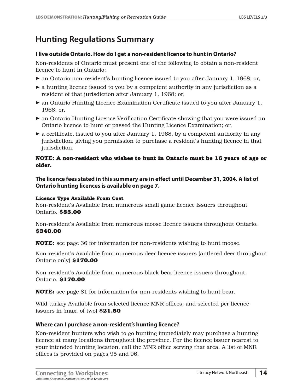## <span id="page-16-0"></span>**Hunting Regulations Summary**

#### **I live outside Ontario. How do I get a non-resident licence to hunt in Ontario?**

Non-residents of Ontario must present one of the following to obtain a non-resident licence to hunt in Ontario:

- ® an Ontario non-resident's hunting licence issued to you after January 1, 1968; or,
- $\blacktriangleright$  a hunting licence issued to you by a competent authority in any jurisdiction as a resident of that jurisdiction after January 1, 1968; or,
- $\triangleright$  an Ontario Hunting Licence Examination Certificate issued to you after January 1, 1968; or,
- ® an Ontario Hunting Licence Verification Certificate showing that you were issued an Ontario licence to hunt or passed the Hunting Licence Examination; or,
- $\blacktriangleright$  a certificate, issued to you after January 1, 1968, by a competent authority in any jurisdiction, giving you permission to purchase a resident's hunting licence in that jurisdiction.

#### **NOTE: A non-resident who wishes to hunt in Ontario must be 16 years of age or older.**

**The licence fees stated in this summary are in effect until December 31, 2004. A list of Ontario hunting licences is available on page 7.** 

#### **Licence Type Available From Cost**

Non-resident's Available from numerous small game licence issuers throughout Ontario. **\$85.00**

Non-resident's Available from numerous moose licence issuers throughout Ontario. **\$340.00**

**NOTE:** see page 36 for information for non-residents wishing to hunt moose.

Non-resident's Available from numerous deer licence issuers (antlered deer throughout Ontario only) **\$170.00**

Non-resident's Available from numerous black bear licence issuers throughout Ontario. **\$170.00**

**NOTE:** see page 81 for information for non-residents wishing to hunt bear.

Wild turkey Available from selected licence MNR offices, and selected per licence issuers in (max. of two) **\$21.50**

## **Where can I purchase a non-resident's hunting licence?**

Non-resident hunters who wish to go hunting immediately may purchase a hunting licence at many locations throughout the province. For the licence issuer nearest to your intended hunting location, call the MNR office serving that area. A list of MNR offices is provided on pages 95 and 96.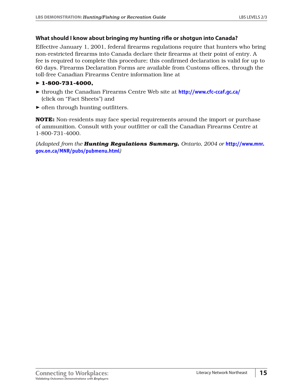#### **What should I know about bringing my hunting rifle or shotgun into Canada?**

Effective January 1, 2001, federal firearms regulations require that hunters who bring non-restricted firearms into Canada declare their firearms at their point of entry. A fee is required to complete this procedure; this confirmed declaration is valid for up to 60 days. Firearms Declaration Forms are available from Customs offices, through the toll-free Canadian Firearms Centre information line at

#### ® **1-800-731-4000,**

- ® through the Canadian Firearms Centre Web site at **<http://www.cfc-ccaf.gc.ca/>** (click on "Fact Sheets") and
- $\triangleright$  often through hunting outfitters.

**NOTE:** Non-residents may face special requirements around the import or purchase of ammunition. Consult with your outfitter or call the Canadian Firearms Centre at 1-800-731-4000.

*(Adapted from the Hunting Regulations Summary, Ontario, 2004 or* **[http://www.mnr.](http://www.mnr.gov.on.ca/MNR/pubs/pubmenu.html) [gov.on.ca/MNR/pubs/pubmenu.html](http://www.mnr.gov.on.ca/MNR/pubs/pubmenu.html)***)*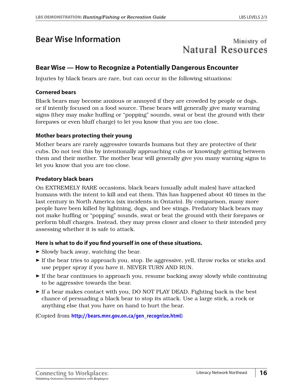## <span id="page-18-0"></span>**Bear Wise Information**

## Ministry of Natural Resources

## **Bear Wise — How to Recognize a Potentially Dangerous Encounter**

Injuries by black bears are rare, but can occur in the following situations:

#### **Cornered bears**

Black bears may become anxious or annoyed if they are crowded by people or dogs, or if intently focused on a food source. These bears will generally give many warning signs (they may make huffing or "popping" sounds, swat or beat the ground with their forepaws or even bluff charge) to let you know that you are too close.

#### **Mother bears protecting their young**

Mother bears are rarely aggressive towards humans but they are protective of their cubs. Do not test this by intentionally approaching cubs or knowingly getting between them and their mother. The mother bear will generally give you many warning signs to let you know that you are too close.

#### **Predatory black bears**

On EXTREMELY RARE occasions, black bears (usually adult males) have attacked humans with the intent to kill and eat them. This has happened about 40 times in the last century in North America (six incidents in Ontario). By comparison, many more people have been killed by lightning, dogs, and bee stings. Predatory black bears may not make huffing or "popping" sounds, swat or beat the ground with their forepaws or perform bluff charges. Instead, they may press closer and closer to their intended prey assessing whether it is safe to attack.

## **Here is what to do if you find yourself in one of these situations.**

- $\triangleright$  Slowly back away, watching the bear.
- $\triangleright$  If the bear tries to approach you, stop. Be aggressive, yell, throw rocks or sticks and use pepper spray if you have it. NEVER TURN AND RUN.
- $\triangleright$  If the bear continues to approach you, resume backing away slowly while continuing to be aggressive towards the bear.
- ® If a bear makes contact with you, DO NOT PLAY DEAD. Fighting back is the best chance of persuading a black bear to stop its attack. Use a large stick, a rock or anything else that you have on hand to hurt the bear.

(Copied from **[http://bears.mnr.gov.on.ca/gen\\_recognize.html](http://bears.mnr.gov.on.ca/gen_recognize.html)**)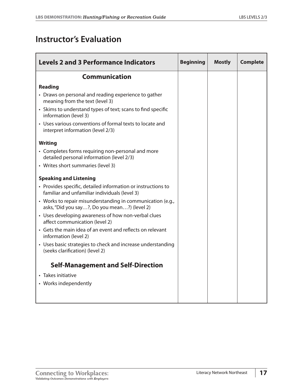## <span id="page-19-0"></span>**Instructor's Evaluation**

| <b>Levels 2 and 3 Performance Indicators</b>                                                                  | <b>Beginning</b> | <b>Mostly</b> | <b>Complete</b> |
|---------------------------------------------------------------------------------------------------------------|------------------|---------------|-----------------|
| <b>Communication</b>                                                                                          |                  |               |                 |
| <b>Reading</b>                                                                                                |                  |               |                 |
| • Draws on personal and reading experience to gather<br>meaning from the text (level 3)                       |                  |               |                 |
| • Skims to understand types of text; scans to find specific<br>information (level 3)                          |                  |               |                 |
| • Uses various conventions of formal texts to locate and<br>interpret information (level 2/3)                 |                  |               |                 |
| <b>Writing</b>                                                                                                |                  |               |                 |
| • Completes forms requiring non-personal and more<br>detailed personal information (level 2/3)                |                  |               |                 |
| • Writes short summaries (level 3)                                                                            |                  |               |                 |
| <b>Speaking and Listening</b>                                                                                 |                  |               |                 |
| • Provides specific, detailed information or instructions to<br>familiar and unfamiliar individuals (level 3) |                  |               |                 |
| • Works to repair misunderstanding in communication (e.g.,<br>asks, "Did you say?, Do you mean?) (level 2)    |                  |               |                 |
| • Uses developing awareness of how non-verbal clues<br>affect communication (level 2)                         |                  |               |                 |
| • Gets the main idea of an event and reflects on relevant<br>information (level 2)                            |                  |               |                 |
| • Uses basic strategies to check and increase understanding<br>(seeks clarification) (level 2)                |                  |               |                 |
| <b>Self-Management and Self-Direction</b>                                                                     |                  |               |                 |
| • Takes initiative                                                                                            |                  |               |                 |
| • Works independently                                                                                         |                  |               |                 |
|                                                                                                               |                  |               |                 |
|                                                                                                               |                  |               |                 |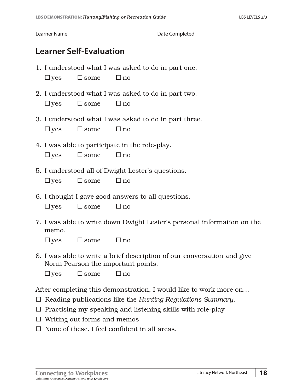<span id="page-20-0"></span>Learner Name \_\_\_\_\_\_\_\_\_\_\_\_\_\_\_\_\_\_\_\_\_\_\_\_\_\_\_\_\_\_ Date Completed \_\_\_\_\_\_\_\_\_\_\_\_\_\_\_\_\_\_\_\_\_\_\_\_\_\_

## **Learner Self-Evaluation**

- 1. I understood what I was asked to do in part one.  $\Box$  yes  $\Box$  some  $\Box$  no
- 2. I understood what I was asked to do in part two.  $\Box$  yes  $\Box$  some  $\Box$  no
- 3. I understood what I was asked to do in part three.

 $\Box$  yes  $\Box$  some  $\Box$  no

- 4. I was able to participate in the role-play.  $\Box$  yes  $\Box$  some  $\Box$  no
- 5. I understood all of Dwight Lester's questions.

 $\Box$  yes  $\Box$  some  $\Box$  no

6. I thought I gave good answers to all questions.

 $\Box$  yes  $\Box$  some  $\Box$  no

7. I was able to write down Dwight Lester's personal information on the memo.

 $\Box$  yes  $\Box$  some  $\Box$  no

8. I was able to write a brief description of our conversation and give Norm Pearson the important points.

 $\Box$  ves  $\Box$  some  $\Box$  no

After completing this demonstration, I would like to work more on…

- Reading publications like the *Hunting Regulations Summary.*
- $\Box$  Practising my speaking and listening skills with role-play
- $\Box$  Writing out forms and memos
- $\Box$  None of these. I feel confident in all areas.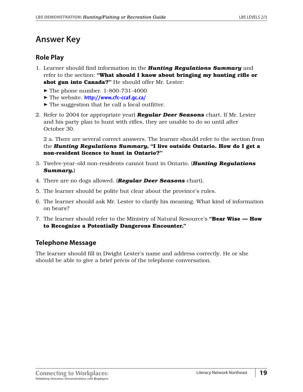## <span id="page-21-0"></span>**Answer Key**

## **Role Play**

- 1. Learner should find information in the *Hunting Regulations Summary* and refer to the section: **"What should I know about bringing my hunting rifle or shot gun into Canada?"** He should offer Mr. Lester:
	- The phone number. 1-800-731-4000
	- ® The website. **<http://www.cfc-ccaf.gc.ca/>**
	- $\triangleright$  The suggestion that he call a local outfitter.
- 2. Refer to 2004 (or appropriate year) *Regular Deer Seasons* chart. If Mr. Lester and his party plan to hunt with rifles, they are unable to do so until after October 30.

2 a. There are several correct answers. The learner should refer to the section from the *Hunting Regulations Summary,* **"I live outside Ontario. How do I get a non-resident licence to hunt in Ontario?"**

- 3. Twelve-year-old non-residents cannot hunt in Ontario. (*Hunting Regulations Summary.*)
- 4. There are no dogs allowed. (*Regular Deer Seasons* chart).
- 5. The learner should be polite but clear about the province's rules.
- 6. The learner should ask Mr. Lester to clarify his meaning. What kind of information on bears?
- 7. The learner should refer to the Ministry of Natural Resource's **"Bear Wise How to Recognize a Potentially Dangerous Encounter."**

## **Telephone Message**

The learner should fill in Dwight Lester's name and address correctly. He or she should be able to give a brief précis of the telephone conversation.